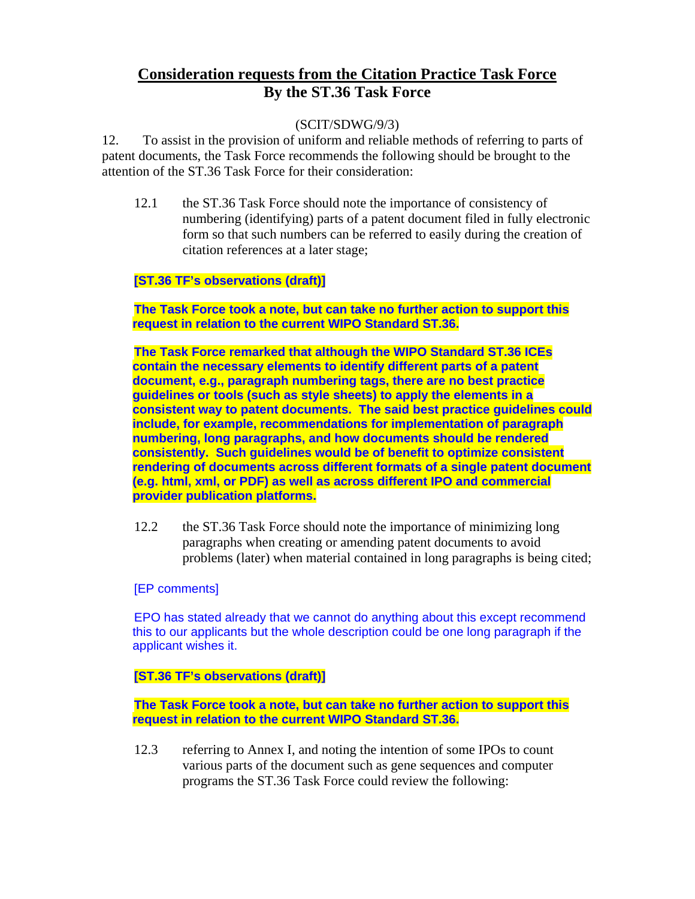# **Consideration requests from the Citation Practice Task Force By the ST.36 Task Force**

# (SCIT/SDWG/9/3)

12. To assist in the provision of uniform and reliable methods of referring to parts of patent documents, the Task Force recommends the following should be brought to the attention of the ST.36 Task Force for their consideration:

12.1 the ST.36 Task Force should note the importance of consistency of numbering (identifying) parts of a patent document filed in fully electronic form so that such numbers can be referred to easily during the creation of citation references at a later stage;

# **[ST.36 TF's observations (draft)]**

**The Task Force took a note, but can take no further action to support this request in relation to the current WIPO Standard ST.36.** 

**The Task Force remarked that although the WIPO Standard ST.36 ICEs contain the necessary elements to identify different parts of a patent document, e.g., paragraph numbering tags, there are no best practice guidelines or tools (such as style sheets) to apply the elements in a consistent way to patent documents. The said best practice guidelines could include, for example, recommendations for implementation of paragraph numbering, long paragraphs, and how documents should be rendered consistently. Such guidelines would be of benefit to optimize consistent rendering of documents across different formats of a single patent document (e.g. html, xml, or PDF) as well as across different IPO and commercial provider publication platforms.** 

12.2 the ST.36 Task Force should note the importance of minimizing long paragraphs when creating or amending patent documents to avoid problems (later) when material contained in long paragraphs is being cited;

## [EP comments]

EPO has stated already that we cannot do anything about this except recommend this to our applicants but the whole description could be one long paragraph if the applicant wishes it.

# **[ST.36 TF's observations (draft)]**

**The Task Force took a note, but can take no further action to support this request in relation to the current WIPO Standard ST.36.** 

12.3 referring to Annex I, and noting the intention of some IPOs to count various parts of the document such as gene sequences and computer programs the ST.36 Task Force could review the following: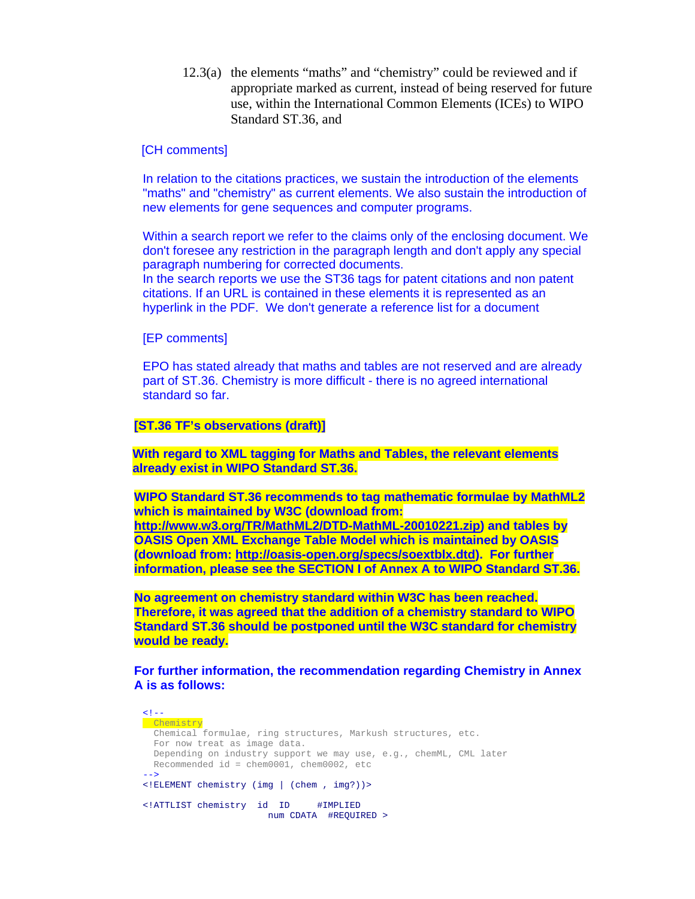12.3(a) the elements "maths" and "chemistry" could be reviewed and if appropriate marked as current, instead of being reserved for future use, within the International Common Elements (ICEs) to WIPO Standard ST.36, and

# [CH comments]

In relation to the citations practices, we sustain the introduction of the elements "maths" and "chemistry" as current elements. We also sustain the introduction of new elements for gene sequences and computer programs.

Within a search report we refer to the claims only of the enclosing document. We don't foresee any restriction in the paragraph length and don't apply any special paragraph numbering for corrected documents.

In the search reports we use the ST36 tags for patent citations and non patent citations. If an URL is contained in these elements it is represented as an hyperlink in the PDF. We don't generate a reference list for a document

#### [EP comments]

EPO has stated already that maths and tables are not reserved and are already part of ST.36. Chemistry is more difficult - there is no agreed international standard so far.

# **[ST.36 TF's observations (draft)]**

**With regard to XML tagging for Maths and Tables, the relevant elements already exist in WIPO Standard ST.36.** 

**WIPO Standard ST.36 recommends to tag mathematic formulae by MathML2 which is maintained by W3C (download from: <http://www.w3.org/TR/MathML2/DTD-MathML-20010221.zip>) and tables by OASIS Open XML Exchange Table Model which is maintained by OASIS (download from: [http://oasis-open.org/specs/soextblx.dtd\)](http://oasis-open.org/specs/soextblx.dtd). For further information, please see the SECTION I of Annex A to WIPO Standard ST.36.** 

**No agreement on chemistry standard within W3C has been reached. Therefore, it was agreed that the addition of a chemistry standard to WIPO Standard ST.36 should be postponed until the W3C standard for chemistry would be ready.** 

**For further information, the recommendation regarding Chemistry in Annex A is as follows:** 

 $\leq$  ! -**Chemistry**  Chemical formulae, ring structures, Markush structures, etc. For now treat as image data. Depending on industry support we may use, e.g., chemML, CML later Recommended id = chem0001, chem0002, etc --> <!ELEMENT chemistry (img | (chem , img?))> <!ATTLIST chemistry id ID #IMPLIED num CDATA #REQUIRED >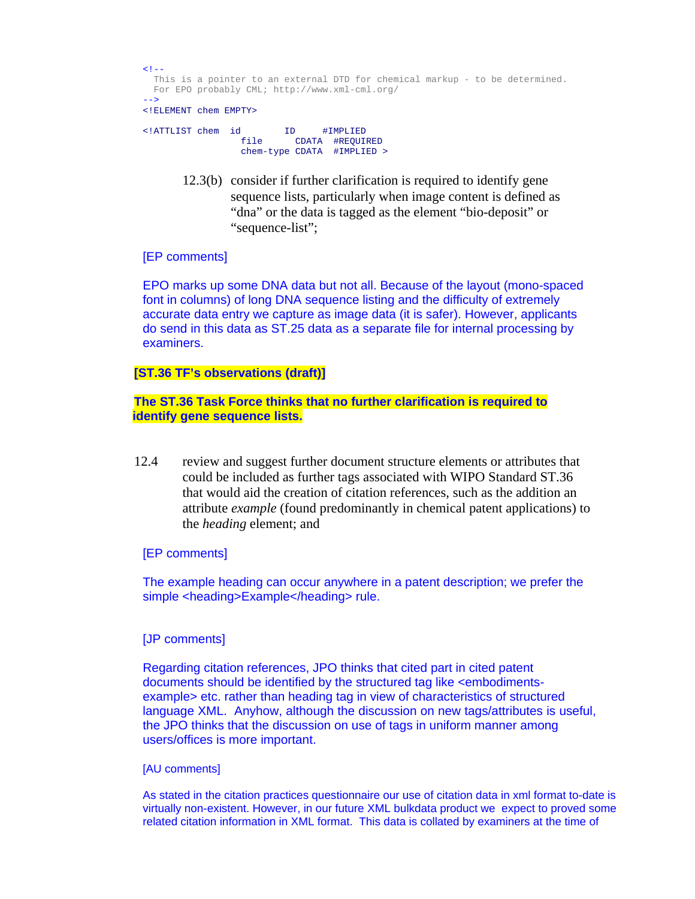```
\leq 1 - 1 This is a pointer to an external DTD for chemical markup - to be determined. 
  For EPO probably CML; http://www.xml-cml.org/ 
-->
<!ELEMENT chem EMPTY>
```

```
<!ATTLIST chem id ID #IMPLIED 
 file CDATA #REQUIRED 
             chem-type CDATA #IMPLIED >
```
12.3(b) consider if further clarification is required to identify gene sequence lists, particularly when image content is defined as "dna" or the data is tagged as the element "bio-deposit" or "sequence-list";

# [EP comments]

EPO marks up some DNA data but not all. Because of the layout (mono-spaced font in columns) of long DNA sequence listing and the difficulty of extremely accurate data entry we capture as image data (it is safer). However, applicants do send in this data as ST.25 data as a separate file for internal processing by examiners.

## **[ST.36 TF's observations (draft)]**

# **The ST.36 Task Force thinks that no further clarification is required to identify gene sequence lists.**

 12.4 review and suggest further document structure elements or attributes that could be included as further tags associated with WIPO Standard ST.36 that would aid the creation of citation references, such as the addition an attribute *example* (found predominantly in chemical patent applications) to the *heading* element; and

## [EP comments]

The example heading can occur anywhere in a patent description; we prefer the simple <heading>Example</heading> rule.

## [JP comments]

Regarding citation references, JPO thinks that cited part in cited patent documents should be identified by the structured tag like <embodimentsexample> etc. rather than heading tag in view of characteristics of structured language XML. Anyhow, although the discussion on new tags/attributes is useful, the JPO thinks that the discussion on use of tags in uniform manner among users/offices is more important.

## [AU comments]

As stated in the citation practices questionnaire our use of citation data in xml format to-date is virtually non-existent. However, in our future XML bulkdata product we expect to proved some related citation information in XML format. This data is collated by examiners at the time of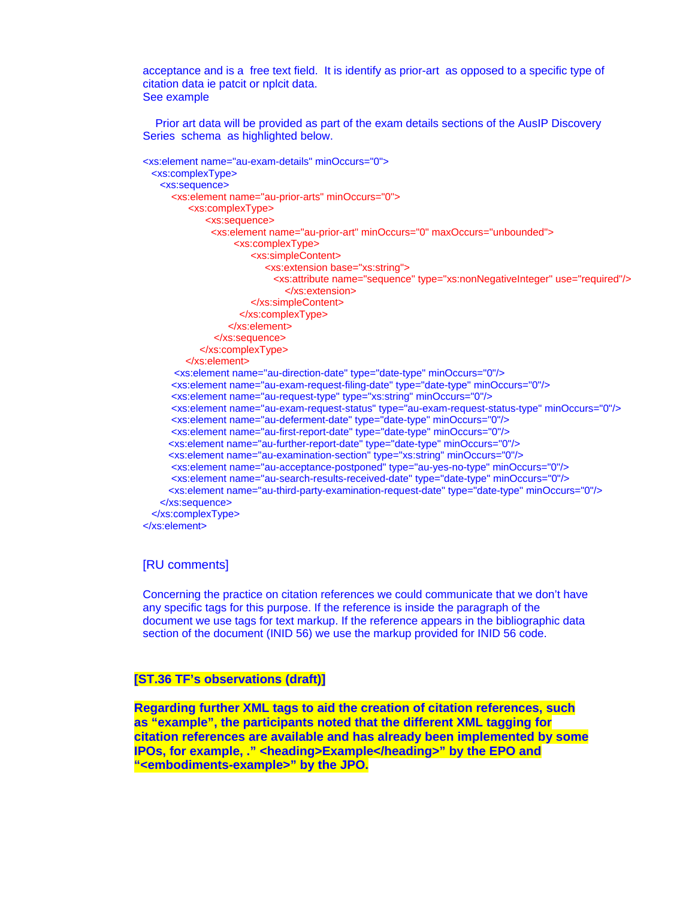acceptance and is a free text field. It is identify as prior-art as opposed to a specific type of citation data ie patcit or nplcit data. See example

 Prior art data will be provided as part of the exam details sections of the AusIP Discovery Series schema as highlighted below.

```
<xs:element name="au-exam-details" minOccurs="0"> 
  <xs:complexType> 
    <xs:sequence> 
      <xs:element name="au-prior-arts" minOccurs="0"> 
          <xs:complexType> 
              <xs:sequence> 
               <xs:element name="au-prior-art" minOccurs="0" maxOccurs="unbounded"> 
                    <xs:complexType> 
                        <xs:simpleContent> 
                           <xs:extension base="xs:string"> 
                             <xs:attribute name="sequence" type="xs:nonNegativeInteger" use="required"/> 
                               </xs:extension> 
                        </xs:simpleContent> 
                     </xs:complexType> 
                   </xs:element> 
                </xs:sequence> 
             </xs:complexType> 
          </xs:element> 
       <xs:element name="au-direction-date" type="date-type" minOccurs="0"/> 
       <xs:element name="au-exam-request-filing-date" type="date-type" minOccurs="0"/> 
       <xs:element name="au-request-type" type="xs:string" minOccurs="0"/> 
       <xs:element name="au-exam-request-status" type="au-exam-request-status-type" minOccurs="0"/> 
       <xs:element name="au-deferment-date" type="date-type" minOccurs="0"/> 
       <xs:element name="au-first-report-date" type="date-type" minOccurs="0"/> 
      <xs:element name="au-further-report-date" type="date-type" minOccurs="0"/> 
      <xs:element name="au-examination-section" type="xs:string" minOccurs="0"/> 
       <xs:element name="au-acceptance-postponed" type="au-yes-no-type" minOccurs="0"/> 
       <xs:element name="au-search-results-received-date" type="date-type" minOccurs="0"/> 
      <xs:element name="au-third-party-examination-request-date" type="date-type" minOccurs="0"/> 
    </xs:sequence> 
  </xs:complexType> 
</xs:element>
```
## [RU comments]

Concerning the practice on citation references we could communicate that we don't have any specific tags for this purpose. If the reference is inside the paragraph of the document we use tags for text markup. If the reference appears in the bibliographic data section of the document (INID 56) we use the markup provided for INID 56 code.

## **[ST.36 TF's observations (draft)]**

**Regarding further XML tags to aid the creation of citation references, such as "example", the participants noted that the different XML tagging for citation references are available and has already been implemented by some IPOs, for example, ." <heading>Example</heading>" by the EPO and "<embodiments-example>" by the JPO.**